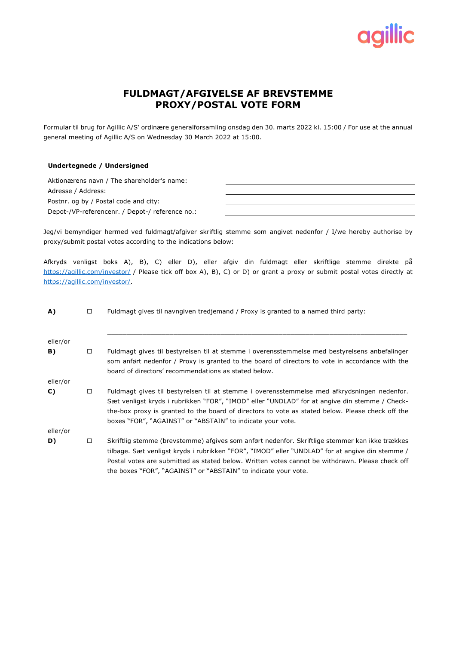

## **FULDMAGT/AFGIVELSE AF BREVSTEMME PROXY/POSTAL VOTE FORM**

Formular til brug for Agillic A/S' ordinære generalforsamling onsdag den 30. marts 2022 kl. 15:00 / For use at the annual general meeting of Agillic A/S on Wednesday 30 March 2022 at 15:00.

## **Undertegnede / Undersigned**

| Aktionærens navn / The shareholder's name:      |  |
|-------------------------------------------------|--|
| Adresse / Address:                              |  |
| Postnr, og by / Postal code and city:           |  |
| Depot-/VP-referencenr. / Depot-/ reference no.: |  |

Jeg/vi bemyndiger hermed ved fuldmagt/afgiver skriftlig stemme som angivet nedenfor / I/we hereby authorise by proxy/submit postal votes according to the indications below:

Afkryds venligst boks A), B), C) eller D), eller afgiv din fuldmagt eller skriftlige stemme direkte på https://agillic.com/investor/ / Please tick off box A), B), C) or D) or grant a proxy or submit postal votes directly at https://agillic.com/investor/.

| A)       | $\Box$ | Fuldmagt gives til navngiven tredjemand / Proxy is granted to a named third party:                                                                                                                                                                                                                                                                                     |  |  |  |  |
|----------|--------|------------------------------------------------------------------------------------------------------------------------------------------------------------------------------------------------------------------------------------------------------------------------------------------------------------------------------------------------------------------------|--|--|--|--|
| eller/or |        |                                                                                                                                                                                                                                                                                                                                                                        |  |  |  |  |
| B)       | $\Box$ | Fuldmagt gives til bestyrelsen til at stemme i overensstemmelse med bestyrelsens anbefalinger<br>som anført nedenfor / Proxy is granted to the board of directors to vote in accordance with the<br>board of directors' recommendations as stated below.                                                                                                               |  |  |  |  |
| eller/or |        |                                                                                                                                                                                                                                                                                                                                                                        |  |  |  |  |
| C)       | $\Box$ | Fuldmagt gives til bestyrelsen til at stemme i overensstemmelse med afkrydsningen nedenfor.<br>Sæt venligst kryds i rubrikken "FOR", "IMOD" eller "UNDLAD" for at angive din stemme / Check-<br>the-box proxy is granted to the board of directors to vote as stated below. Please check off the<br>boxes "FOR", "AGAINST" or "ABSTAIN" to indicate your vote.         |  |  |  |  |
| eller/or |        |                                                                                                                                                                                                                                                                                                                                                                        |  |  |  |  |
| D)       | $\Box$ | Skriftlig stemme (brevstemme) afgives som anført nedenfor. Skriftlige stemmer kan ikke trækkes<br>tilbage. Sæt venligst kryds i rubrikken "FOR", "IMOD" eller "UNDLAD" for at angive din stemme /<br>Postal votes are submitted as stated below. Written votes cannot be withdrawn. Please check off<br>the boxes "FOR", "AGAINST" or "ABSTAIN" to indicate your vote. |  |  |  |  |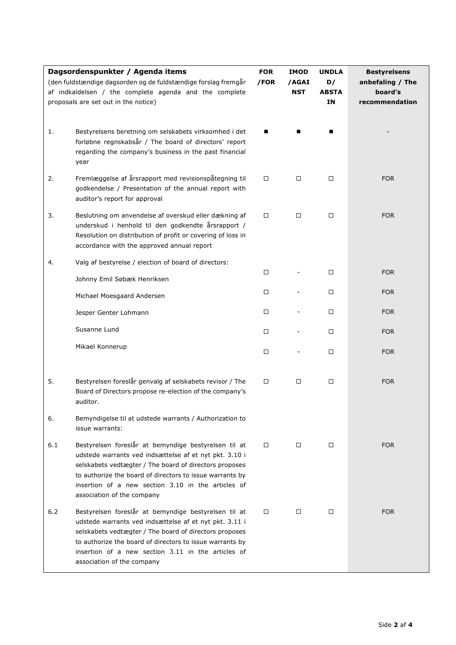| Dagsordenspunkter / Agenda items<br>(den fuldstændige dagsorden og de fuldstændige forslag fremgår<br>af indkaldelsen / the complete agenda and the complete<br>proposals are set out in the notice) |                                                                                                                                                                                                                                                                                                                          | <b>FOR</b><br>/FOR | <b>IMOD</b><br>/AGAI<br><b>NST</b> | <b>UNDLA</b><br>D/<br><b>ABSTA</b><br>IN | <b>Bestyrelsens</b><br>anbefaling / The<br>board's<br>recommendation |
|------------------------------------------------------------------------------------------------------------------------------------------------------------------------------------------------------|--------------------------------------------------------------------------------------------------------------------------------------------------------------------------------------------------------------------------------------------------------------------------------------------------------------------------|--------------------|------------------------------------|------------------------------------------|----------------------------------------------------------------------|
| 1.                                                                                                                                                                                                   | Bestyrelsens beretning om selskabets virksomhed i det<br>forløbne regnskabsår / The board of directors' report<br>regarding the company's business in the past financial<br>year                                                                                                                                         |                    |                                    |                                          |                                                                      |
| 2.                                                                                                                                                                                                   | Fremlæggelse af årsrapport med revisionspåtegning til<br>godkendelse / Presentation of the annual report with<br>auditor's report for approval                                                                                                                                                                           | $\Box$             | □                                  | $\Box$                                   | <b>FOR</b>                                                           |
| 3.                                                                                                                                                                                                   | Beslutning om anvendelse af overskud eller dækning af<br>underskud i henhold til den godkendte årsrapport /<br>Resolution on distribution of profit or covering of loss in<br>accordance with the approved annual report                                                                                                 | $\Box$             | $\Box$                             | $\Box$                                   | <b>FOR</b>                                                           |
| 4.                                                                                                                                                                                                   | Valg af bestyrelse / election of board of directors:                                                                                                                                                                                                                                                                     | □                  |                                    | $\Box$                                   | <b>FOR</b>                                                           |
|                                                                                                                                                                                                      | Johnny Emil Søbæk Henriksen                                                                                                                                                                                                                                                                                              |                    |                                    |                                          |                                                                      |
|                                                                                                                                                                                                      | Michael Moesgaard Andersen                                                                                                                                                                                                                                                                                               | $\Box$             |                                    | $\Box$                                   | <b>FOR</b>                                                           |
|                                                                                                                                                                                                      | Jesper Genter Lohmann                                                                                                                                                                                                                                                                                                    | □                  |                                    | $\Box$                                   | <b>FOR</b>                                                           |
|                                                                                                                                                                                                      | Susanne Lund                                                                                                                                                                                                                                                                                                             | □                  |                                    | $\Box$                                   | <b>FOR</b>                                                           |
|                                                                                                                                                                                                      | Mikael Konnerup                                                                                                                                                                                                                                                                                                          | □                  |                                    | $\Box$                                   | <b>FOR</b>                                                           |
| 5.                                                                                                                                                                                                   | Bestyrelsen foreslår genvalg af selskabets revisor / The<br>Board of Directors propose re-election of the company's<br>auditor.                                                                                                                                                                                          | □                  | □                                  | $\Box$                                   | <b>FOR</b>                                                           |
| 6.                                                                                                                                                                                                   | Bemyndigelse til at udstede warrants / Authorization to<br>issue warrants:                                                                                                                                                                                                                                               |                    |                                    |                                          |                                                                      |
| 6.1                                                                                                                                                                                                  | Bestyrelsen foreslår at bemyndige bestyrelsen til at<br>udstede warrants ved indsættelse af et nyt pkt. 3.10 i<br>selskabets vedtægter / The board of directors proposes<br>to authorize the board of directors to issue warrants by<br>insertion of a new section 3.10 in the articles of<br>association of the company | □                  | $\Box$                             | □                                        | <b>FOR</b>                                                           |
| 6.2                                                                                                                                                                                                  | Bestyrelsen foreslår at bemyndige bestyrelsen til at<br>udstede warrants ved indsættelse af et nyt pkt. 3.11 i<br>selskabets vedtægter / The board of directors proposes<br>to authorize the board of directors to issue warrants by<br>insertion of a new section 3.11 in the articles of<br>association of the company | □                  | $\Box$                             | □                                        | <b>FOR</b>                                                           |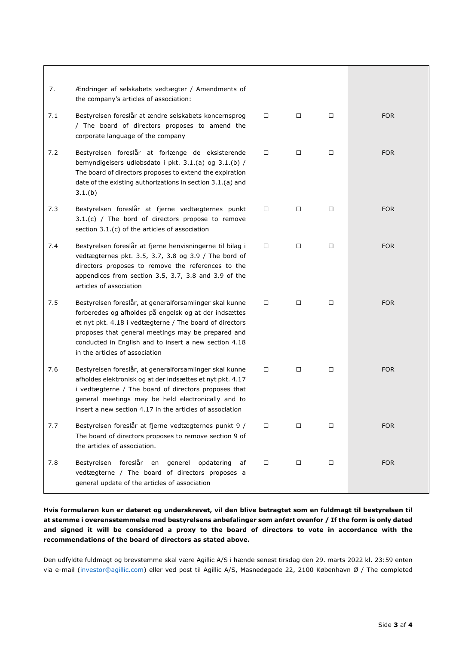| 7.  | Ændringer af selskabets vedtægter / Amendments of<br>the company's articles of association:                                                                                                                                                                                                                                  |        |        |        |            |
|-----|------------------------------------------------------------------------------------------------------------------------------------------------------------------------------------------------------------------------------------------------------------------------------------------------------------------------------|--------|--------|--------|------------|
| 7.1 | Bestyrelsen foreslår at ændre selskabets koncernsprog<br>/ The board of directors proposes to amend the<br>corporate language of the company                                                                                                                                                                                 | $\Box$ | $\Box$ | □      | <b>FOR</b> |
| 7.2 | Bestyrelsen foreslår at forlænge de eksisterende<br>bemyndigelsers udløbsdato i pkt. 3.1.(a) og 3.1.(b) /<br>The board of directors proposes to extend the expiration<br>date of the existing authorizations in section 3.1.(a) and<br>3.1.(b)                                                                               | $\Box$ | $\Box$ | $\Box$ | <b>FOR</b> |
| 7.3 | Bestyrelsen foreslår at fjerne vedtægternes punkt<br>3.1.(c) / The bord of directors propose to remove<br>section 3.1.(c) of the articles of association                                                                                                                                                                     | $\Box$ | □      | $\Box$ | <b>FOR</b> |
| 7.4 | Bestyrelsen foreslår at fjerne henvisningerne til bilag i<br>vedtægternes pkt. 3.5, 3.7, 3.8 og 3.9 / The bord of<br>directors proposes to remove the references to the<br>appendices from section 3.5, 3.7, 3.8 and 3.9 of the<br>articles of association                                                                   | $\Box$ | □      | $\Box$ | <b>FOR</b> |
| 7.5 | Bestyrelsen foreslår, at generalforsamlinger skal kunne<br>forberedes og afholdes på engelsk og at der indsættes<br>et nyt pkt. 4.18 i vedtægterne / The board of directors<br>proposes that general meetings may be prepared and<br>conducted in English and to insert a new section 4.18<br>in the articles of association | $\Box$ | □      | $\Box$ | <b>FOR</b> |
| 7.6 | Bestyrelsen foreslår, at generalforsamlinger skal kunne<br>afholdes elektronisk og at der indsættes et nyt pkt. 4.17<br>i vedtægterne / The board of directors proposes that<br>general meetings may be held electronically and to<br>insert a new section 4.17 in the articles of association                               | $\Box$ | $\Box$ | $\Box$ | <b>FOR</b> |
| 7.7 | Bestyrelsen foreslår at fjerne vedtægternes punkt 9 /<br>The board of directors proposes to remove section 9 of<br>the articles of association.                                                                                                                                                                              | $\Box$ | □      | □      | <b>FOR</b> |
| 7.8 | Bestyrelsen foreslår en generel opdatering<br>af<br>vedtægterne / The board of directors proposes a<br>general update of the articles of association                                                                                                                                                                         | $\Box$ | □      | $\Box$ | <b>FOR</b> |

**Hvis formularen kun er dateret og underskrevet, vil den blive betragtet som en fuldmagt til bestyrelsen til at stemme i overensstemmelse med bestyrelsens anbefalinger som anført ovenfor / If the form is only dated and signed it will be considered a proxy to the board of directors to vote in accordance with the recommendations of the board of directors as stated above.**

Den udfyldte fuldmagt og brevstemme skal være Agillic A/S i hænde senest tirsdag den 29. marts 2022 kl. 23:59 enten via e-mail (investor@agillic.com) eller ved post til Agillic A/S, Masnedøgade 22, 2100 København Ø / The completed